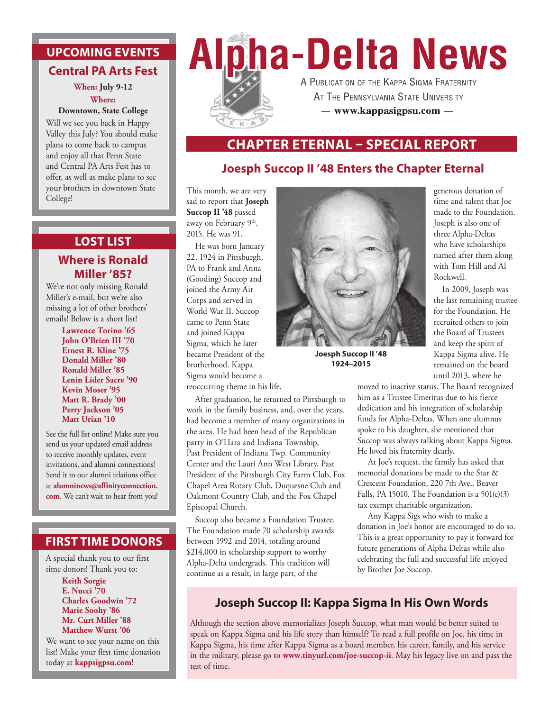# **UPCOMING EVENTS Central PA Arts Fest**

**When: July 9-12 Where:** 

#### **Downtown, State College**

Will we see you back in Happy Valley this July? You should make plans to come back to campus and enjoy all that Penn State and Central PA Arts Fest has to offer, as well as make plans to see your brothers in downtown State College!

# **LOST LIST**

### **Where is Ronald Miller '85?**

We're not only missing Ronald Miller's e-mail, but we're also missing a lot of other brothers' emails! Below is a short list!

> **Lawrence Torino '65 John O'Brien III '70 Ernest R. Kline '75 Donald Miller '80 Ronald Miller '85 Lenin Lider Sacre '90 Kevin Moser '95 Matt R. Brady '00 Perry Jackson '05 Matt Urian '10**

See the full list online! Make sure you send us your updated email address to receive monthly updates, event invitations, and alumni connections! Send it to our alumni relations office at **alumninews@affinityconnection. com**. We can't wait to hear from you!

### **FIRST TIME DONORS**

A special thank you to our first time donors! Thank you to:

#### **Keith Sorgie E. Nucci '70 Charles Goodwin '72 Marie Soohy '86 Mr. Curt Miller '88 Matthew Wurst '06**

We want to see your name on this list! Make your first time donation today at **kappsigpsu.com**!

# **Alpha-Delta News** A PUBLICATION OF THE KAPPA SIGMA FRATERNITY



AT THE PENNSYLVANIA STATE UNIVERSITY - www.kappasigpsu.com -

## **CHAPTER ETERNAL – SPECIAL REPORT**

## **Joesph Succop II '48 Enters the Chapter Eternal**

This month, we are very sad to report that **Joseph Succop II '48** passed away on February 9th, 2015. He was 91.

He was born January 22, 1924 in Pittsburgh, PA to Frank and Anna (Gooding) Succop and joined the Army Air Corps and served in World War II. Succop came to Penn State and joined Kappa Sigma, which he later became President of the brotherhood. Kappa Sigma would become a reoccurring theme in his life.

After graduation, he returned to Pittsburgh to work in the family business, and, over the years, had become a member of many organizations in the area. He had been head of the Republican party in O'Hara and Indiana Township, Past President of Indiana Twp. Community Center and the Lauri Ann West Library, Past President of the Pittsburgh City Farm Club, Fox Chapel Area Rotary Club, Duquesne Club and Oakmont Country Club, and the Fox Chapel Episcopal Church.

Succop also became a Foundation Trustee. The Foundation made 70 scholarship awards between 1992 and 2014, totaling around \$214,000 in scholarship support to worthy Alpha-Delta undergrads. This tradition will continue as a result, in large part, of the



**Joesph Succop II '48 1924–2015**

generous donation of time and talent that Joe made to the Foundation. Joseph is also one of three Alpha-Deltas who have scholarships named after them along with Tom Hill and Al Rockwell.

In 2009, Joseph was the last remaining trustee for the Foundation. He recruited others to join the Board of Trustees and keep the spirit of Kappa Sigma alive. He remained on the board until 2013, where he

moved to inactive status. The Board recognized him as a Trustee Emeritus due to his fierce dedication and his integration of scholarship funds for Alpha-Deltas. When one alumnus spoke to his daughter, she mentioned that Succop was always talking about Kappa Sigma. He loved his fraternity dearly.

At Joe's request, the family has asked that memorial donations be made to the Star & Crescent Foundation, 220 7th Ave., Beaver Falls, PA 15010. The Foundation is a  $501(c)(3)$ tax exempt charitable organization.

Any Kappa Sigs who wish to make a donation in Joe's honor are encouraged to do so. This is a great opportunity to pay it forward for future generations of Alpha Deltas while also celebrating the full and successful life enjoyed by Brother Joe Succop.

# **Joseph Succop II: Kappa Sigma In His Own Words**

Although the section above memorializes Joseph Succop, what man would be better suited to speak on Kappa Sigma and his life story than himself? To read a full profile on Joe, his time in Kappa Sigma, his time after Kappa Sigma as a board member, his career, family, and his service in the military, please go to **www.tinyurl.com/joe-succop-ii**. May his legacy live on and pass the test of time.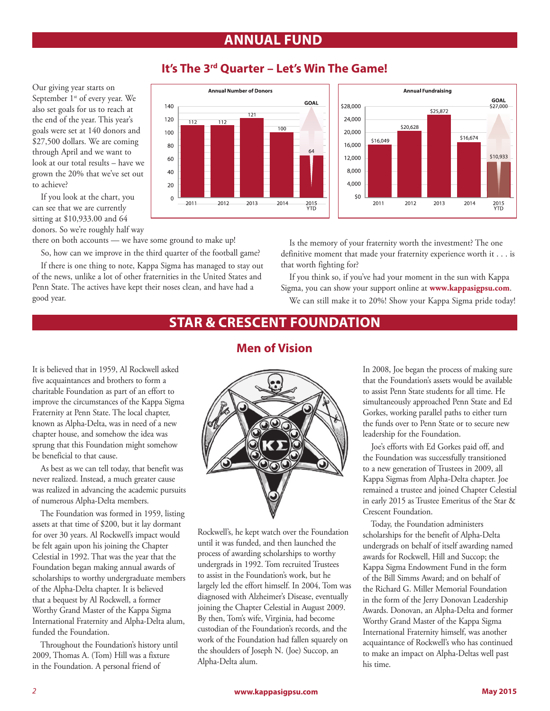# **ANNUAL FUND**



### **It's The 3rd Quarter – Let's Win The Game!**



If you look at the chart, you can see that we are currently sitting at \$10,933.00 and 64 donors. So we're roughly half way

to achieve?

Our giving year starts on September 1<sup>st</sup> of every year. We also set goals for us to reach at the end of the year. This year's goals were set at 140 donors and \$27,500 dollars. We are coming through April and we want to look at our total results – have we grown the 20% that we've set out

there on both accounts — we have some ground to make up!

So, how can we improve in the third quarter of the football game?

If there is one thing to note, Kappa Sigma has managed to stay out of the news, unlike a lot of other fraternities in the United States and Penn State. The actives have kept their noses clean, and have had a good year.

Is the memory of your fraternity worth the investment? The one definitive moment that made your fraternity experience worth it . . . is that worth fighting for?

If you think so, if you've had your moment in the sun with Kappa Sigma, you can show your support online at **www.kappasigpsu.com**. We can still make it to 20%! Show your Kappa Sigma pride today!

# **STAR & CRESCENT FOUNDATION**

### **Men of Vision**

It is believed that in 1959, Al Rockwell asked five acquaintances and brothers to form a charitable Foundation as part of an effort to improve the circumstances of the Kappa Sigma Fraternity at Penn State. The local chapter, known as Alpha-Delta, was in need of a new chapter house, and somehow the idea was sprung that this Foundation might somehow be beneficial to that cause.

As best as we can tell today, that benefit was never realized. Instead, a much greater cause was realized in advancing the academic pursuits of numerous Alpha-Delta members.

The Foundation was formed in 1959, listing assets at that time of \$200, but it lay dormant for over 30 years. Al Rockwell's impact would be felt again upon his joining the Chapter Celestial in 1992. That was the year that the Foundation began making annual awards of scholarships to worthy undergraduate members of the Alpha-Delta chapter. It is believed that a bequest by Al Rockwell, a former Worthy Grand Master of the Kappa Sigma International Fraternity and Alpha-Delta alum, funded the Foundation.

Throughout the Foundation's history until 2009, Thomas A. (Tom) Hill was a fixture in the Foundation. A personal friend of



Rockwell's, he kept watch over the Foundation until it was funded, and then launched the process of awarding scholarships to worthy undergrads in 1992. Tom recruited Trustees to assist in the Foundation's work, but he largely led the effort himself. In 2004, Tom was diagnosed with Alzheimer's Disease, eventually joining the Chapter Celestial in August 2009. By then, Tom's wife, Virginia, had become custodian of the Foundation's records, and the work of the Foundation had fallen squarely on the shoulders of Joseph N. (Joe) Succop, an Alpha-Delta alum.

In 2008, Joe began the process of making sure that the Foundation's assets would be available to assist Penn State students for all time. He simultaneously approached Penn State and Ed Gorkes, working parallel paths to either turn the funds over to Penn State or to secure new leadership for the Foundation.

Joe's efforts with Ed Gorkes paid off, and the Foundation was successfully transitioned to a new generation of Trustees in 2009, all Kappa Sigmas from Alpha-Delta chapter. Joe remained a trustee and joined Chapter Celestial in early 2015 as Trustee Emeritus of the Star & Crescent Foundation.

Today, the Foundation administers scholarships for the benefit of Alpha-Delta undergrads on behalf of itself awarding named awards for Rockwell, Hill and Succop; the Kappa Sigma Endowment Fund in the form of the Bill Simms Award; and on behalf of the Richard G. Miller Memorial Foundation in the form of the Jerry Donovan Leadership Awards. Donovan, an Alpha-Delta and former Worthy Grand Master of the Kappa Sigma International Fraternity himself, was another acquaintance of Rockwell's who has continued to make an impact on Alpha-Deltas well past his time.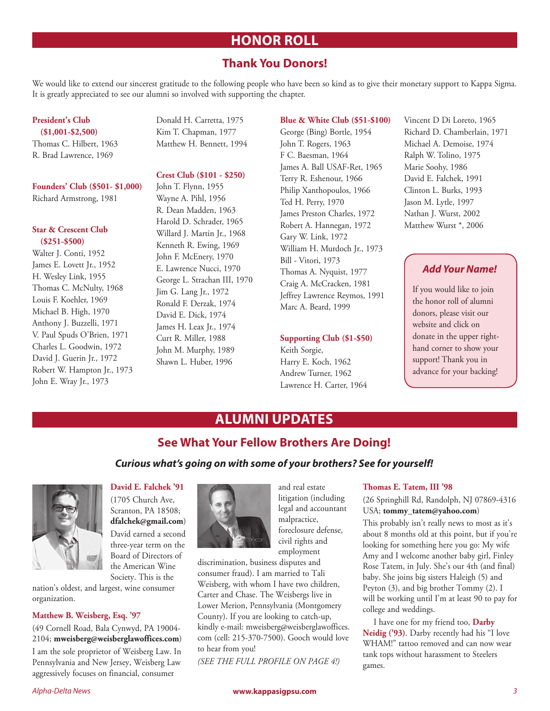# **HONOR ROLL**

### **Thank You Donors!**

We would like to extend our sincerest gratitude to the following people who have been so kind as to give their monetary support to Kappa Sigma. It is greatly appreciated to see our alumni so involved with supporting the chapter.

#### **President's Club (\$1,001-\$2,500)**

Thomas C. Hilbert, 1963 R. Brad Lawrence, 1969

### **Founders' Club (\$501- \$1,000)**

Richard Armstrong, 1981

#### **Star & Crescent Club (\$251-\$500)**

Walter J. Conti, 1952 James E. Lovett Jr., 1952 H. Wesley Link, 1955 Thomas C. McNulty, 1968 Louis F. Koehler, 1969 Michael B. High, 1970 Anthony J. Buzzelli, 1971 V. Paul Spuds O'Brien, 1971 Charles L. Goodwin, 1972 David J. Guerin Jr., 1972 Robert W. Hampton Jr., 1973 John E. Wray Jr., 1973

Donald H. Carretta, 1975 Kim T. Chapman, 1977 Matthew H. Bennett, 1994

#### **Crest Club (\$101 - \$250)**

John T. Flynn, 1955 Wayne A. Pihl, 1956 R. Dean Madden, 1963 Harold D. Schrader, 1965 Willard J. Martin Jr., 1968 Kenneth R. Ewing, 1969 John F. McEnery, 1970 E. Lawrence Nucci, 1970 George L. Strachan III, 1970 Jim G. Lang Jr., 1972 Ronald F. Derzak, 1974 David E. Dick, 1974 James H. Leax Jr., 1974 Curt R. Miller, 1988 John M. Murphy, 1989 Shawn L. Huber, 1996

#### **Blue & White Club (\$51-\$100)**

George (Bing) Bortle, 1954 John T. Rogers, 1963 F C. Baesman, 1964 James A. Ball USAF-Ret, 1965 Terry R. Eshenour, 1966 Philip Xanthopoulos, 1966 Ted H. Perry, 1970 James Preston Charles, 1972 Robert A. Hannegan, 1972 Gary W. Link, 1972 William H. Murdoch Jr., 1973 Bill - Vitori, 1973 Thomas A. Nyquist, 1977 Craig A. McCracken, 1981 Jeffrey Lawrence Reymos, 1991 Marc A. Beard, 1999

#### **Supporting Club (\$1-\$50)**

Keith Sorgie, Harry E. Koch, 1962 Andrew Turner, 1962 Lawrence H. Carter, 1964 Vincent D Di Loreto, 1965 Richard D. Chamberlain, 1971 Michael A. Demoise, 1974 Ralph W. Tolino, 1975 Marie Soohy, 1986 David E. Falchek, 1991 Clinton L. Burks, 1993 Jason M. Lytle, 1997 Nathan J. Wurst, 2002 Matthew Wurst \*, 2006

### *Add Your Name!*

If you would like to join the honor roll of alumni donors, please visit our website and click on donate in the upper righthand corner to show your support! Thank you in advance for your backing!

# **ALUMNI UPDATES**

### **See What Your Fellow Brothers Are Doing!**

#### *Curious what's going on with some of your brothers? See for yourself!*



### **David E. Falchek '91**

(1705 Church Ave, Scranton, PA 18508; **dfalchek@gmail.com**) David earned a second three-year term on the Board of Directors of the American Wine Society. This is the

nation's oldest, and largest, wine consumer organization.

#### **Matthew B. Weisberg, Esq. '97**

(49 Cornell Road, Bala Cynwyd, PA 19004- 2104; **mweisberg@weisberglawoffices.com**) I am the sole proprietor of Weisberg Law. In Pennsylvania and New Jersey, Weisberg Law aggressively focuses on financial, consumer



and real estate litigation (including legal and accountant malpractice, foreclosure defense, civil rights and employment

discrimination, business disputes and consumer fraud). I am married to Tali Weisberg, with whom I have two children, Carter and Chase. The Weisbergs live in Lower Merion, Pennsylvania (Montgomery County). If you are looking to catch-up, kindly e-mail: mweisberg@weisberglawoffices. com (cell: 215-370-7500). Gooch would love to hear from you!

*(SEE THE FULL PROFILE ON PAGE 4!)* 

#### **Thomas E. Tatem, III '98**

#### (26 Springhill Rd, Randolph, NJ 07869-4316 USA; **tommy\_tatem@yahoo.com**)

This probably isn't really news to most as it's about 8 months old at this point, but if you're looking for something here you go: My wife Amy and I welcome another baby girl, Finley Rose Tatem, in July. She's our 4th (and final) baby. She joins big sisters Haleigh (5) and Peyton (3), and big brother Tommy (2). I will be working until I'm at least 90 to pay for college and weddings.

I have one for my friend too, **Darby Neidig ('93)**. Darby recently had his "I love WHAM!" tattoo removed and can now wear tank tops without harassment to Steelers games.